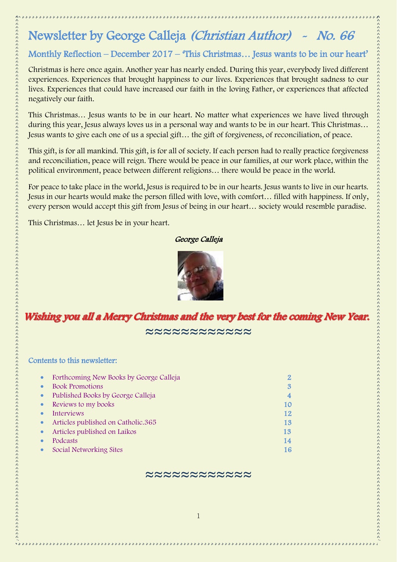# Newsletter by George Calleja (Christian Author) - No. 66

# Monthly Reflection – December 2017 – 'This Christmas… Jesus wants to be in our heart'

Christmas is here once again. Another year has nearly ended. During this year, everybody lived different experiences. Experiences that brought happiness to our lives. Experiences that brought sadness to our lives. Experiences that could have increased our faith in the loving Father, or experiences that affected negatively our faith.

This Christmas… Jesus wants to be in our heart. No matter what experiences we have lived through during this year, Jesus always loves us in a personal way and wants to be in our heart. This Christmas… Jesus wants to give each one of us a special gift… the gift of forgiveness, of reconciliation, of peace.

This gift, is for all mankind. This gift, is for all of society. If each person had to really practice forgiveness and reconciliation, peace will reign. There would be peace in our families, at our work place, within the political environment, peace between different religions… there would be peace in the world.

For peace to take place in the world, Jesus is required to be in our hearts. Jesus wants to live in our hearts. Jesus in our hearts would make the person filled with love, with comfort… filled with happiness. If only, every person would accept this gift from Jesus of being in our heart… society would resemble paradise.

This Christmas… let Jesus be in your heart.

### George Calleja



# Wishing you all a Merry Christmas and the very best for the coming New Year.

≈≈≈≈≈≈≈≈≈≈≈≈

### Contents to this newsletter:

| $\bullet$ | Forthcoming New Books by George Calleja |    |
|-----------|-----------------------------------------|----|
| $\bullet$ | <b>Book Promotions</b>                  | 3  |
| $\bullet$ | Published Books by George Calleja       | 4  |
| $\bullet$ | Reviews to my books                     | 10 |
| $\bullet$ | <b>Interviews</b>                       | 12 |
| $\bullet$ | Articles published on Catholic.365      | 13 |
| $\bullet$ | Articles published on Laikos            | 13 |
|           | Podcasts                                | 14 |
| $\bullet$ | Social Networking Sites                 | 16 |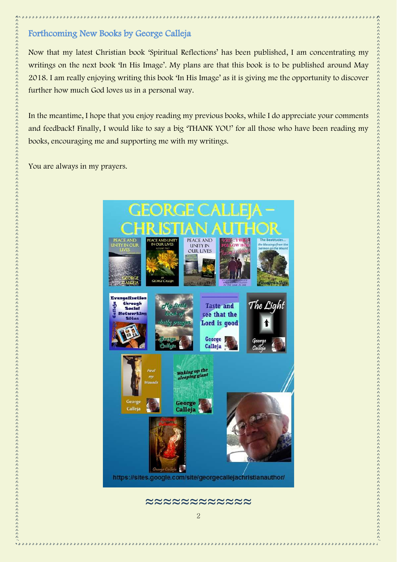# <span id="page-1-0"></span>Forthcoming New Books by George Calleja

Now that my latest Christian book 'Spiritual Reflections' has been published, I am concentrating my writings on the next book 'In His Image'. My plans are that this book is to be published around May 2018. I am really enjoying writing this book 'In His Image' as it is giving me the opportunity to discover further how much God loves us in a personal way.

In the meantime, I hope that you enjoy reading my previous books, while I do appreciate your comments and feedback! Finally, I would like to say a big 'THANK YOU' for all those who have been reading my books, encouraging me and supporting me with my writings.

You are always in my prayers.

そのようなのでのこのたちのようなものものものであるのでものものものものものものでしょうかんとしているかでしょうか。そのようなものでしょうかもしろんとしろんとしろんとしろんとしろんとしろんとしろんとしろん たんきんしょう

5222



\*\*\*\*\*\*\*\*\*\*\*\*\*\*\*\*\*\*\*\*\*\*\*\*\*\*\*\*\*\*\*\*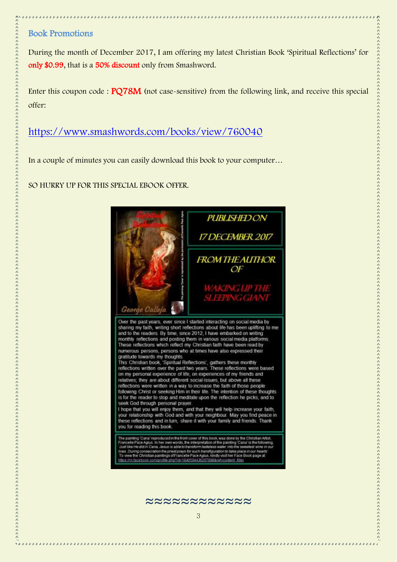## <span id="page-2-0"></span>Book Promotions

During the month of December 2017, I am offering my latest Christian Book 'Spiritual Reflections' for only \$0.99, that is a 50% discount only from Smashword.

Enter this coupon code : PQ78M (not case-sensitive) from the following link, and receive this special offer:

<https://www.smashwords.com/books/view/760040>

In a couple of minutes you can easily download this book to your computer…

SO HURRY UP FOR THIS SPECIAL EBOOK OFFER.



Just like He did in Cana. Jesus is able to transform fasteless water in no in nu .<br>In the priest prays for such transfiguration to take<br>aintings of Francelle Pace Agius, kindly visit her f ofile phm?id=1940504436267998Aref=content\_fil

≈≈≈≈≈≈≈≈≈≈≈≈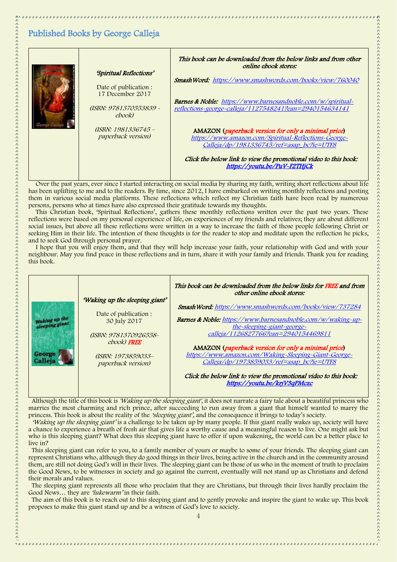# <span id="page-3-0"></span>Published Books by George Calleja

| "Spiritual Reflections"                                                     | This book can be downloaded from the below links and from other<br>online ebook stores:                                                                                                                                                                      |
|-----------------------------------------------------------------------------|--------------------------------------------------------------------------------------------------------------------------------------------------------------------------------------------------------------------------------------------------------------|
| Date of publication:<br>17 December 2017<br>(ISBN: 9781370553839 -<br>ebook | Smash Word: https://www.smashwords.com/books/view/760040<br><b>Barnes &amp; Noble:</b> https://www.barnesandnoble.com/w/spiritual-<br>reflections-george-calleja/1127548241?ean=2940154634141                                                                |
| (ISBN: 1981336745 -<br><i>paperback version)</i>                            | AMAZON (paperback version for only a minimal price)<br>https://www.amazon.com/Spiritual-Reflections-George-<br>Calleja/dp/1981336745/ref=asap_bc?ie=UTF8<br>Click the below link to view the promotional video to this book:<br>https://youtu.be/PuV-F2THjCk |

Over the past years, ever since I started interacting on social media by sharing my faith, writing short reflections about life has been uplifting to me and to the readers. By time, since 2012, I have embarked on writing monthly reflections and posting them in various social media platforms. These reflections which reflect my Christian faith have been read by numerous persons, persons who at times have also expressed their gratitude towards my thoughts.

This Christian book, 'Spiritual Reflections', gathers these monthly reflections written over the past two years. These reflections were based on my personal experience of life, on experiences of my friends and relatives; they are about different social issues, but above all these reflections were written in a way to increase the faith of those people following Christ or seeking Him in their life. The intention of these thoughts is for the reader to stop and meditate upon the reflection he picks, and to seek God through personal prayer.

I hope that you will enjoy them, and that they will help increase your faith, your relationship with God and with your neighbour. May you find peace in these reflections and in turn, share it with your family and friends. Thank you for reading this book.



Although the title of this book is 'Waking up the sleeping giant', it does not narrate a fairy tale about a beautiful princess who marries the most charming and rich prince, after succeeding to run away from a giant that himself wanted to marry the princess. This book is about the reality of the 'sleeping giant', and the consequence it brings to today's society.

'Waking up the sleeping giant' is a challenge to be taken up by many people. If this giant really wakes up, society will have a chance to experience a breath of fresh air that gives life a worthy cause and a meaningful reason to live. One might ask but who is this sleeping giant? What does this sleeping giant have to offer if upon wakening, the world can be a better place to live in?

This sleeping giant can refer to you, to a family member of yours or maybe to some of your friends. The sleeping giant can represent Christians who, although they do good things in their lives, being active in the church and in the community around them, are still not doing God's will in their lives. The sleeping giant can be those of us who in the moment of truth to proclaim the Good News, to be witnesses in society and go against the current, eventually will not stand up as Christians and defend their morals and values.

 The sleeping giant represents all those who proclaim that they are Christians, but through their lives hardly proclaim the Good News... they are *'lukewarm'* in their faith.

 The aim of this book is to reach out to this sleeping giant and to gently provoke and inspire the giant to wake up. This book proposes to make this giant stand up and be a witness of God's love to society.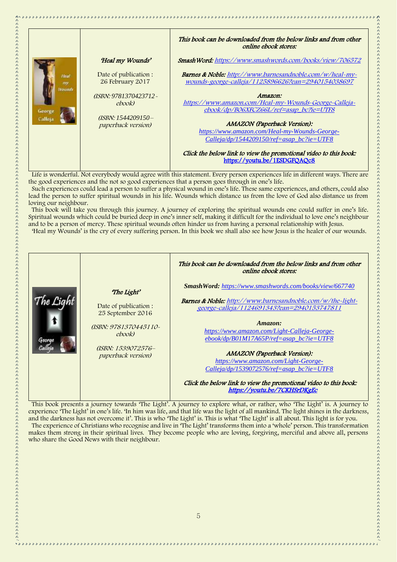|                         |                                             | This book can be downloaded from the below links and from other<br>online ebook stores:                                                           |
|-------------------------|---------------------------------------------|---------------------------------------------------------------------------------------------------------------------------------------------------|
|                         | 'Heal my Wounds'                            | Smash Word: https://www.smashwords.com/books/view/706572                                                                                          |
| Heal<br>$m\nu$          | Date of publication :<br>26 February 2017   | <b>Barnes &amp; Noble:</b> http://www.barnesandnoble.com/w/heal-my-<br>wounds-george-calleja/1125896626?ean=2940154038697                         |
| <b>Vounds</b><br>George | $(ISBN: 9781370423712 -$<br>ebook)          | Amazon:<br>https://www.amazon.com/Heal-my-Wounds-George-Calleja-<br>ebook/dp/B06XFCZ66L/ref=asap bc?ie=UTF8                                       |
| Calleja                 | $(ISBN: 1544209150 -$<br>paperback version) | <b>AMAZON</b> (Paperback Version):<br>https://www.amazon.com/Heal-my-Wounds-George-                                                               |
|                         |                                             | $Calleja/dp/1544209150/ref = asap$ bc?ie=UTF8<br>Click the below link to view the promotional video to this book:<br>https://youtu.be/1ESDGFQAQc8 |

 Life is wonderful. Not everybody would agree with this statement. Every person experiences life in different ways. There are the good experiences and the not so good experiences that a person goes through in one's life.

 Such experiences could lead a person to suffer a physical wound in one's life. These same experiences, and others, could also lead the person to suffer spiritual wounds in his life. Wounds which distance us from the love of God also distance us from loving our neighbour.

 This book will take you through this journey. A journey of exploring the spiritual wounds one could suffer in one's life. Spiritual wounds which could be buried deep in one's inner self, making it difficult for the individual to love one's neighbour and to be a person of mercy. These spiritual wounds often hinder us from having a personal relationship with Jesus.

'Heal my Wounds' is the cry of every suffering person. In this book we shall also see how Jesus is the healer of our wounds.

|       |                                                                                                                                        | This book can be downloaded from the below links and from other<br><i>online ebook stores:</i>                                                                                                                                                                                                                                                                                                                                                                                                                                  |
|-------|----------------------------------------------------------------------------------------------------------------------------------------|---------------------------------------------------------------------------------------------------------------------------------------------------------------------------------------------------------------------------------------------------------------------------------------------------------------------------------------------------------------------------------------------------------------------------------------------------------------------------------------------------------------------------------|
| Genra | The Light'<br>Date of publication:<br>25 September 2016<br>(ISBN: 9781370445110-<br>ebook)<br>(ISBN: 1539072576-<br>paperback version) | <b>SmashWord:</b> https://www.smashwords.com/books/view/667740<br><b>Barnes &amp; Noble:</b> http://www.barnesandnoble.com/w/the-light-<br>george-calleja/1124691343?ean=2940153747811<br>Amazon:<br>https://www.amazon.com/Light-Calleja-George-<br>$ebook/dp/B01M17A65P/ref = asap$ bc?ie=UTF8<br><b>AMAZON</b> (Paperback Version):<br>https://www.amazon.com/Light-George-<br>Calleja/dp/1539072576/ref=asap bc?ie=UTF8<br>Click the below link to view the promotional video to this book:<br>https://voutu.be/7CKHSrDKgEc |

 This book presents a journey towards 'The Light'. A journey to explore what, or rather, who 'The Light' is. A journey to experience 'The Light' in one's life. 'In him was life, and that life was the light of all mankind. The light shines in the darkness, and the darkness has not overcome it'. This is who 'The Light' is. This is what 'The Light' is all about. This light is for you. The experience of Christians who recognise and live in 'The Light' transforms them into a 'whole' person. This transformation makes them strong in their spiritual lives. They become people who are loving, forgiving, merciful and above all, persons

who share the Good News with their neighbour.

大きなことのことのこともこともこともあらえものもしろんとしたものもしろんとしたとしたとしたとしてしたとしてしたのでしょうかもしろんとしてしまうかもしろんとしているのでしょうとしてもしろんとしろんとしても たんしんしょう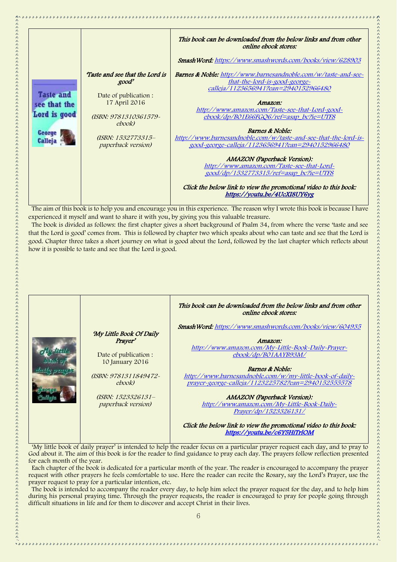|                  |                                         | This book can be downloaded from the below links and from other<br>online ebook stores:                    |
|------------------|-----------------------------------------|------------------------------------------------------------------------------------------------------------|
|                  |                                         | <b>SmashWord:</b> https://www.smashwords.com/books/view/628903                                             |
|                  | Taste and see that the Lord is<br>good' | <b>Barnes &amp; Noble:</b> http://www.barnesandnoble.com/w/taste-and-see-<br>that-the-lord-is-good-george- |
|                  |                                         | calleja/1123656941?ean=2940152966480                                                                       |
| <b>Taste and</b> | Date of publication :                   |                                                                                                            |
| see that the     | 17 April 2016                           | Amazon:                                                                                                    |
| Lord is good     | (ISBN: 9781310361579-                   | http://www.amazon.com/Taste-see-that-Lord-good-<br>ebook/dp/B01E66FGQ6/ref=asap_bc?ie=UTF8                 |
|                  | ebook)                                  |                                                                                                            |
| George           |                                         | Barnes & Noble:                                                                                            |
| <b>Calleja</b>   | (ISBN: 1532773315-                      | http://www.barnesandnoble.com/w/taste-and-see-that-the-lord-is-                                            |
|                  | <i>paperback version)</i>               | 200d-george-calleja/1123656941?ean=2940152966480                                                           |
|                  |                                         |                                                                                                            |
|                  |                                         | <b>AMAZON</b> (Paperback Version):<br>http://www.amazon.com/Taste-see-that-Lord-                           |
|                  |                                         | good/dp/1532773315/ref=asap_bc?ie=UTF8                                                                     |
|                  |                                         |                                                                                                            |
|                  |                                         | Click the below link to view the promotional video to this book:                                           |
|                  |                                         | https://youtu.be/4UcXI8UY6yg                                                                               |

 The aim of this book is to help you and encourage you in this experience. The reason why I wrote this book is because I have experienced it myself and want to share it with you, by giving you this valuable treasure.

 The book is divided as follows: the first chapter gives a short background of Psalm 34, from where the verse 'taste and see that the Lord is good' comes from. This is followed by chapter two which speaks about who can taste and see that the Lord is good. Chapter three takes a short journey on what is good about the Lord, followed by the last chapter which reflects about how it is possible to taste and see that the Lord is good.

|                       | This book can be downloaded from the below links and from other<br>online ebook stores:          |
|-----------------------|--------------------------------------------------------------------------------------------------|
|                       | Smash Word: https://www.smashwords.com/books/view/604935                                         |
|                       |                                                                                                  |
| Prayer'               | Amazon:                                                                                          |
|                       | http://www.amazon.com/My-Little-Book-Daily-Prayer-                                               |
| Date of publication : | ebook/dp/B01AAYB93M/                                                                             |
| 10 January 2016       |                                                                                                  |
|                       | <b>Barnes &amp; Noble:</b>                                                                       |
| (ISBN: 9781311849472~ | http://www.barnesandnoble.com/w/my-little-book-of-daily-                                         |
| ebook)                | prayer-george-calleja/1123225782?ean=2940152555578                                               |
|                       |                                                                                                  |
| (ISBN: 1523326131-    | <b>AMAZON</b> (Paperback Version):                                                               |
|                       | http://www.amazon.com/My-Little-Book-Daily-                                                      |
|                       | Prayer/dp/1523326131/                                                                            |
|                       | Click the below link to view the promotional video to this book:<br>https://youtu.be/c6Y5HiTrlOM |
|                       | 'My Little Book Of Daily<br>paperback version)                                                   |

 'My little book of daily prayer' is intended to help the reader focus on a particular prayer request each day, and to pray to God about it. The aim of this book is for the reader to find guidance to pray each day. The prayers follow reflection presented for each month of the year.

 Each chapter of the book is dedicated for a particular month of the year. The reader is encouraged to accompany the prayer request with other prayers he feels comfortable to use. Here the reader can recite the Rosary, say the Lord's Prayer, use the prayer request to pray for a particular intention, etc.

 The book is intended to accompany the reader every day, to help him select the prayer request for the day, and to help him during his personal praying time. Through the prayer requests, the reader is encouraged to pray for people going through difficult situations in life and for them to discover and accept Christ in their lives.

大きなことのことのこともこともこともあらえものもしろんとしたものもしろんとしたとしたとしたとしてしたとしてしたのでしょうかもしろんとしてしまうかもしろんとしているのでしょうとしてもしろんとしろんとしても たんしんしょう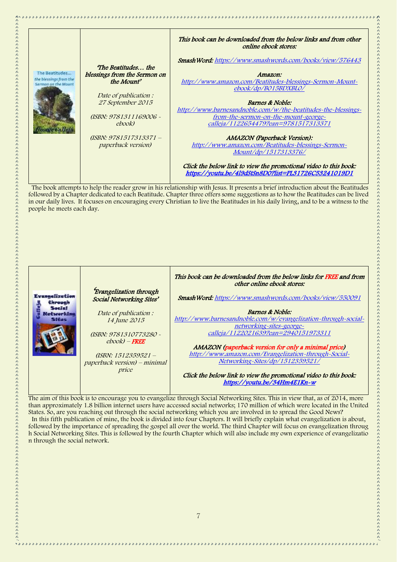|                                               |                              | This book can be downloaded from the below links and from other  |
|-----------------------------------------------|------------------------------|------------------------------------------------------------------|
|                                               |                              | <i>online ebook stores:</i>                                      |
|                                               |                              | <b>SmashWord:</b> https://www.smashwords.com/books/view/576443   |
|                                               | The Beatitudes the           |                                                                  |
| The Beatitudes                                | blessings from the Sermon on | Amazon:                                                          |
| the blessings from the<br>Serman on the Mount | the Mount'                   | http://www.amazon.com/Beatitudes-blessings-Sermon-Mount-         |
|                                               |                              | ebook/dp/B015BDXBL0/                                             |
|                                               | Date of publication:         |                                                                  |
|                                               | 27 September 2015            | Barnes & Noble:                                                  |
|                                               |                              | http://www.barnesandnoble.com/w/the-beatitudes-the-blessings-    |
|                                               | (ISBN: 9781311169006 -       | from-the-sermon-on-the-mount-george-                             |
|                                               | ebook)                       | calleja/1122654479?ean=9781517313371                             |
|                                               |                              |                                                                  |
|                                               | (ISBN: 9781517313371 -       | <b>AMAZON</b> (Paperback Version):                               |
|                                               | paperback version)           | http://www.amazon.com/Beatitudes-blessings-Sermon-               |
|                                               |                              | Mount/dp/1517313376/                                             |
|                                               |                              |                                                                  |
|                                               |                              | Click the below link to view the promotional video to this book: |
|                                               |                              | https://youtu.be/419dStSn8D07list=PL31726C53241019D1             |
|                                               |                              |                                                                  |

÷,

 The book attempts to help the reader grow in his relationship with Jesus. It presents a brief introduction about the Beatitudes followed by a Chapter dedicated to each Beatitude. Chapter three offers some suggestions as to how the Beatitudes can be lived in our daily lives. It focuses on encouraging every Christian to live the Beatitudes in his daily living, and to be a witness to the people he meets each day.



The aim of this book is to encourage you to evangelize through Social Networking Sites. This in view that, as of 2014, more than approximately 1.8 billion internet users have accessed social networks; 170 million of which were located in the United States. So, are you reaching out through the social networking which you are involved in to spread the Good News? In this fifth publication of mine, the book is divided into four Chapters. It will briefly explain what evangelization is about, followed by the importance of spreading the gospel all over the world. The third Chapter will focus on evangelization throug h Social Networking Sites. This is followed by the fourth Chapter which will also include my own experience of evangelizatio n through the social network.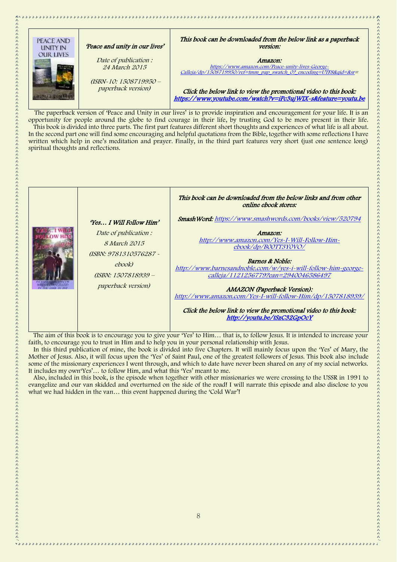

 The paperback version of 'Peace and Unity in our lives' is to provide inspiration and encouragement for your life. It is an opportunity for people around the globe to find courage in their life, by trusting God to be more present in their life. This book is divided into three parts. The first part features different short thoughts and experiences of what life is all about. In the second part one will find some encouraging and helpful quotations from the Bible, together with some reflections I have written which help in one's meditation and prayer. Finally, in the third part features very short (just one sentence long) spiritual thoughts and reflections.



 The aim of this book is to encourage you to give your 'Yes' to Him… that is, to follow Jesus. It is intended to increase your faith, to encourage you to trust in Him and to help you in your personal relationship with Jesus.

 In this third publication of mine, the book is divided into five Chapters. It will mainly focus upon the 'Yes' of Mary, the Mother of Jesus. Also, it will focus upon the 'Yes' of Saint Paul, one of the greatest followers of Jesus. This book also include some of the missionary experiences I went through, and which to date have never been shared on any of my social networks. It includes my own'Yes'… to follow Him, and what this 'Yes' meant to me.

 Also, included in this book, is the episode when together with other missionaries we were crossing to the USSR in 1991 to evangelize and our van skidded and overturned on the side of the road! I will narrate this episode and also disclose to you what we had hidden in the van… this event happened during the 'Cold War'!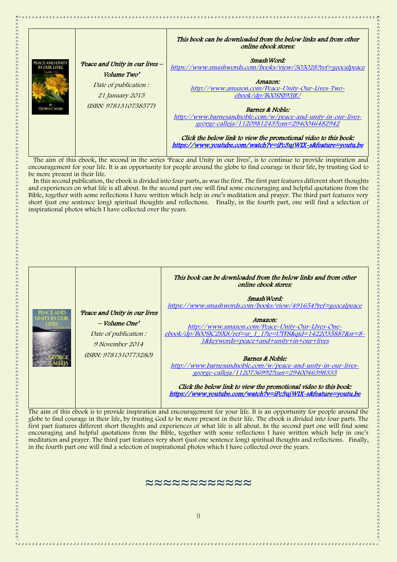|                                                            |                                                                                                                           | This book can be downloaded from the below links and from other<br>online ebook stores:                                                                                                                                                                                                                                                                                                                                                   |
|------------------------------------------------------------|---------------------------------------------------------------------------------------------------------------------------|-------------------------------------------------------------------------------------------------------------------------------------------------------------------------------------------------------------------------------------------------------------------------------------------------------------------------------------------------------------------------------------------------------------------------------------------|
| <b>PEACE AND HMID</b><br>NOURTHUES<br><b>GRORGE CALLEN</b> | 'Peace and Unity in our lives -<br>Volume Two'<br>Date of publication:<br><i>21 January 2015</i><br>(ISBN: 9781310758577) | Smash Word:<br>https://www.smashwords.com/books/view/505028?ref=geocalpeace<br>Amazon:<br>http://www.amazon.com/Peace-Unity-Our-Lives-Two-<br>ebook/dp/B00SN193JE/<br>Barnes & Noble:<br>http://www.barnesandnoble.com/w/peace-and-unity-in-our-lives-<br>george-calleja/1120981243?ean=2940046482942<br>Click the below link to view the promotional video to this book:<br>https://www.youtube.com/watch?v=iPc3ujWIX~s&feature=youtu.be |

 The aim of this ebook, the second in the series 'Peace and Unity in our lives', is to continue to provide inspiration and encouragement for your life. It is an opportunity for people around the globe to find courage in their life, by trusting God to be more present in their life.

 In this second publication, the ebook is divided into four parts, as was the first. The first part features different short thoughts and experiences on what life is all about. In the second part one will find some encouraging and helpful quotations from the Bible, together with some reflections I have written which help in one's meditation and prayer. The third part features very short (just one sentence long) spiritual thoughts and reflections. Finally, in the fourth part, one will find a selection of inspirational photos which I have collected over the years.

| Peace and Unity in our lives<br>$-$ Volume One'<br>Date of publication :<br>9 November 2014<br>(ISBN: 9781310773280) | This book can be downloaded from the below links and from other<br>online ebook stores:<br>Smash Word:<br>https://www.smashwords.com/books/view/491654?ref=geocalpeace<br>Amazon:<br>http://www.amazon.com/Peace-Unity-Our-LIves-One-<br>ebook/dp/B00SJC2SX8/ref=sr 1 1?ie=UTF8&gid=1422035887&sr=8-<br>1&keywords=peace+and+unity+in+our+lives<br>Barnes & Noble:<br>http://www.barnesandnoble.com/w/peace-and-unity-in-our-lives-<br>george-calleja/1120736992?ean=2940046398335 |
|----------------------------------------------------------------------------------------------------------------------|------------------------------------------------------------------------------------------------------------------------------------------------------------------------------------------------------------------------------------------------------------------------------------------------------------------------------------------------------------------------------------------------------------------------------------------------------------------------------------|
|                                                                                                                      | Click the below link to view the promotional video to this book:<br>https://www.youtube.com/watch?v=iPc3ujWIX-s&feature=youtu.be                                                                                                                                                                                                                                                                                                                                                   |

大きなのでのたちのたちのたちのたちのたちのものであるのでものであるのでものでしょうかんでしょうかんでしょうかんかんでんとしょうか。

\*\*\*\*\*\*\*\*\*\*\*

The aim of this ebook is to provide inspiration and encouragement for your life. It is an opportunity for people around the globe to find courage in their life, by trusting God to be more present in their life. The ebook is divided into four parts. The first part features different short thoughts and experiences of what life is all about. In the second part one will find some encouraging and helpful quotations from the Bible, together with some reflections I have written which help in one's meditation and prayer. The third part features very short (just one sentence long) spiritual thoughts and reflections. Finally, in the fourth part one will find a selection of inspirational photos which I have collected over the years.

#### ≈≈≈≈≈≈≈≈≈≈≈≈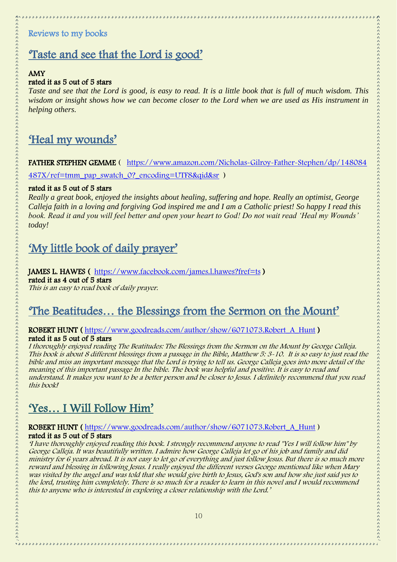# <span id="page-9-0"></span>Reviews to my books

# 'Taste and see that the Lord is good'

## AMY

### rated it as 5 out of 5 stars

*Taste and see that the Lord is good, is easy to read. It is a little book that is full of much wisdom. This wisdom or insight shows how we can become closer to the Lord when we are used as His instrument in helping others.*

# 'Heal my wounds'

FATHER STEPHEN GEMME ( [https://www.amazon.com/Nicholas-Gilroy-Father-Stephen/dp/148084](https://www.amazon.com/Nicholas-Gilroy-Father-Stephen/dp/148084487X/ref=tmm_pap_swatch_0?_encoding=UTF8&qid&sr)

[487X/ref=tmm\\_pap\\_swatch\\_0?\\_encoding=UTF8&qid&sr](https://www.amazon.com/Nicholas-Gilroy-Father-Stephen/dp/148084487X/ref=tmm_pap_swatch_0?_encoding=UTF8&qid&sr) )

### rated it as 5 out of 5 stars

*Really a great book, enjoyed the insights about healing, suffering and hope. Really an optimist, George Calleja faith in a loving and forgiving God inspired me and I am a Catholic priest! So happy I read this book. Read it and you will feel better and open your heart to God! Do not wait read 'Heal my Wounds' today!*

# 'My little book of daily prayer'

## JAMES L. HAWES ( <https://www.facebook.com/james.l.hawes?fref=ts>) rated it as 4 out of 5 stars

This is an easy to read book of daily prayer.

# 'The Beatitudes… the Blessings from the Sermon on the Mount'

### ROBERT HUNT ( [https://www.goodreads.com/author/show/6071073.Robert\\_A\\_Hunt](https://www.goodreads.com/author/show/6071073.Robert_A_Hunt) ) rated it as 5 out of 5 stars

I thoroughly enjoyed reading The Beatitudes: The Blessings from the Sermon on the Mount by George Calleja. This book is about 8 different blessings from a passage in the Bible, Matthew 5: 3-10. It is so easy to just read the bible and miss an important message that the Lord is trying to tell us. George Calleja goes into more detail of the meaning of this important passage In the bible. The book was helpful and positive. It is easy to read and understand. It makes you want to be a better person and be closer to Jesus. I definitely recommend that you read this book!

# 'Yes… I Will Follow Him'

### ROBERT HUNT ( [https://www.goodreads.com/author/show/6071073.Robert\\_A\\_Hunt](https://www.goodreads.com/author/show/6071073.Robert_A_Hunt) ) rated it as 5 out of 5 stars

'I have thoroughly enjoyed reading this book. I strongly recommend anyone to read "Yes I will follow him" by George Calleja. It was beautifully written. I admire how George Calleja let go of his job and family and did ministry for 6 years abroad. It is not easy to let go of everything and just follow Jesus. But there is so much more reward and blessing in following Jesus. I really enjoyed the different verses George mentioned like when Mary was visited by the angel and was told that she would give birth to Jesus, God's son and how she just said yes to the lord, trusting him completely. There is so much for a reader to learn in this novel and I would recommend this to anyone who is interested in exploring a closer relationship with the Lord.'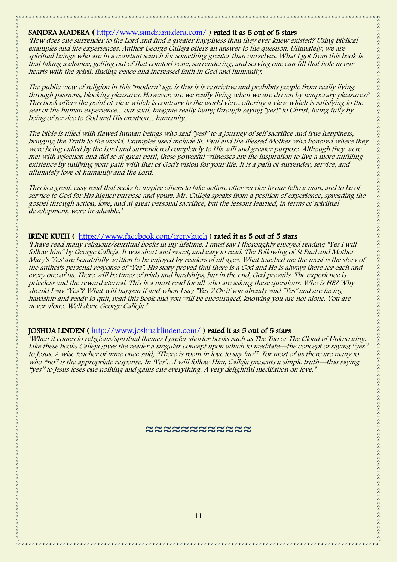#### SANDRA MADERA ( <http://www.sandramadera.com/> ) rated it as 5 out of 5 stars

'How does one surrender to the Lord and find a greater happiness than they ever knew existed? Using biblical examples and life experiences, Author George Calleja offers an answer to the question. Ultimately, we are spiritual beings who are in a constant search for something greater than ourselves. What I got from this book is that taking a chance, getting out of that comfort zone, surrendering, and serving one can fill that hole in our hearts with the spirit, finding peace and increased faith in God and humanity.

The public view of religion in this "modern" age is that it is restrictive and prohibits people from really living through passions, blocking pleasures. However, are we really living when we are driven by temporary pleasures? This book offers the point of view which is contrary to the world view, offering a view which is satisfying to the seat of the human experience... our soul. Imagine really living through saying "yes!" to Christ, living fully by being of service to God and His creation... humanity.

The bible is filled with flawed human beings who said "yes!" to a journey of self sacrifice and true happiness, bringing the Truth to the world. Examples used include St. Paul and the Blessed Mother who honored where they were being called by the Lord and surrendered completely to His will and greater purpose. Although they were met with rejection and did so at great peril, these powerful witnesses are the inspiration to live a more fulfilling existence by unifying your path with that of God's vision for your life. It is a path of surrender, service, and ultimately love of humanity and the Lord.

This is a great, easy read that seeks to inspire others to take action, offer service to our fellow man, and to be of service to God for His higher purpose and yours. Mr. Calleja speaks from a position of experience, spreading the gospel through action, love, and at great personal sacrifice, but the lessons learned, in terms of spiritual development, were invaluable.'

#### IRENE KUEH ( <https://www.facebook.com/irenykueh> ) rated it as 5 out of 5 stars

'I have read many religious/spiritual books in my lifetime. I must say I thoroughly enjoyed reading "Yes I will follow him" by George Calleja. It was short and sweet, and easy to read. The Following of St Paul and Mother Mary's 'Yes' are beautifully written to be enjoyed by readers of all ages. What touched me the most is the story of the author's personal response of "Yes". His story proved that there is a God and He is always there for each and every one of us. There will be times of trials and hardships, but in the end, God prevails. The experience is priceless and the reward eternal. This is a must read for all who are asking these questions: Who is HE? Why should I say "Yes"? What will happen if and when I say "Yes"? Or if you already said "Yes" and are facing hardship and ready to quit, read this book and you will be encouraged, knowing you are not alone. You are <sup>n</sup>ever alone. Well done George Calleja.'

### JOSHUA LINDEN ( <http://www.joshuaklinden.com/> ) rated it as 5 out of 5 stars

'When it comes to religious/spiritual themes I prefer shorter books such as The Tao or The Cloud of Unknowing. Like these books Calleja gives the reader a singular concept upon which to meditate—the concept of saying "yes" to Jesus. A wise teacher of mine once said, "There is room in love to say 'no'". For most of us there are many to who "no" is the appropriate response. In 'Yes'...I will follow Him, Calleja presents a simple truth—that saying "yes" to Jesus loses one nothing and gains one everything. A very delightful meditation on love.'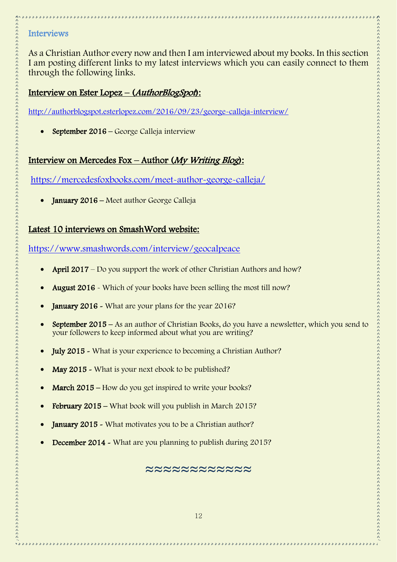### <span id="page-11-0"></span>**Interviews**

As a Christian Author every now and then I am interviewed about my books. In this section I am posting different links to my latest interviews which you can easily connect to them through the following links.

## Interview on Ester Lopez – (AuthorBlogSpot):

<http://authorblogspot.esterlopez.com/2016/09/23/george-calleja-interview/>

• September 2016 – George Calleja interview

# Interview on Mercedes Fox – Author (My Writing Blog):

<https://mercedesfoxbooks.com/meet-author-george-calleja/>

January 2016 – Meet author George Calleja

## Latest 10 interviews on SmashWord website:

<https://www.smashwords.com/interview/geocalpeace>

- April 2017 Do you support the work of other Christian Authors and how?
- August 2016 Which of your books have been selling the most till now?
- **January 2016 -** What are your plans for the year 2016?
- September 2015 As an author of Christian Books, do you have a newsletter, which you send to your followers to keep informed about what you are writing?
- July 2015 What is your experience to becoming a Christian Author?
- May 2015 What is your next ebook to be published?
- March 2015 How do you get inspired to write your books?
- February 2015 What book will you publish in March 2015?
- **January 2015 -** What motivates you to be a Christian author?
- December 2014 What are you planning to publish during 2015?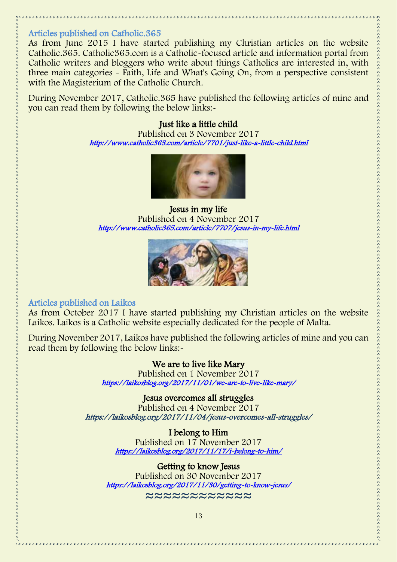## <span id="page-12-0"></span>Articles published on Catholic.365

As from June 2015 I have started publishing my Christian articles on the website Catholic.365. Catholic365.com is a Catholic-focused article and information portal from Catholic writers and bloggers who write about things Catholics are interested in, with three main categories - Faith, Life and What's Going On, from a perspective consistent with the Magisterium of the Catholic Church.

During November 2017, Catholic.365 have published the following articles of mine and you can read them by following the below links:-

### Just like a little child

Published on 3 November 2017 <http://www.catholic365.com/article/7701/just-like-a-little-child.html>



Jesus in my life Published on 4 November 2017 <http://www.catholic365.com/article/7707/jesus-in-my-life.html>



## <span id="page-12-1"></span>Articles published on Laikos

As from October 2017 I have started publishing my Christian articles on the website Laikos. Laikos is a Catholic website especially dedicated for the people of Malta.

During November 2017, Laikos have published the following articles of mine and you can read them by following the below links:-

### We are to live like Mary

Published on 1 November 2017 <https://laikosblog.org/2017/11/01/we-are-to-live-like-mary/>

## Jesus overcomes all struggles

Published on 4 November 2017 https://laikosblog.org/2017/11/04/jesus-overcomes-all-struggles/

## I belong to Him

Published on 17 November 2017 <https://laikosblog.org/2017/11/17/i-belong-to-him/>

# Getting to know Jesus

Published on 30 November 2017 <https://laikosblog.org/2017/11/30/getting-to-know-jesus/> ≈≈≈≈≈≈≈≈≈≈≈≈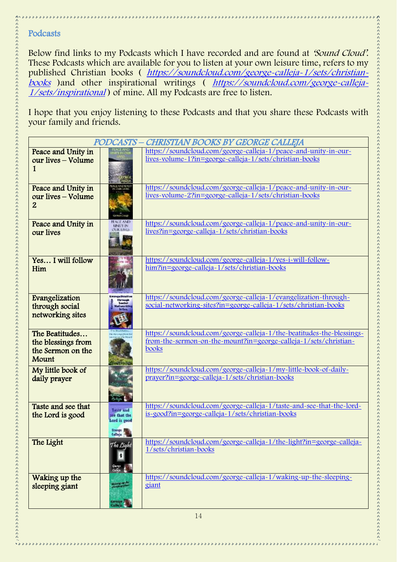## <span id="page-13-0"></span>Podcasts

Below find links to my Podcasts which I have recorded and are found at 'Sound Cloud'. These Podcasts which are available for you to listen at your own leisure time, refers to my published Christian books ( [https://soundcloud.com/george-calleja-1/sets/christian](https://soundcloud.com/george-calleja-1/sets/christian-books)[books](https://soundcloud.com/george-calleja-1/sets/christian-books) ) and other inspirational writings ( [https://soundcloud.com/george-calleja-](https://soundcloud.com/george-calleja-1/sets/inspirational)[1/sets/inspirational](https://soundcloud.com/george-calleja-1/sets/inspirational) ) of mine. All my Podcasts are free to listen.

I hope that you enjoy listening to these Podcasts and that you share these Podcasts with your family and friends.

|                                                                    |                                                                                 | PODCASTS - CHRISTIAN BOOKS BY GEORGE CALLEJA                                                                                                       |
|--------------------------------------------------------------------|---------------------------------------------------------------------------------|----------------------------------------------------------------------------------------------------------------------------------------------------|
| Peace and Unity in<br>our lives – Volume                           |                                                                                 | https://soundcloud.com/george-calleja-1/peace-and-unity-in-our-<br>lives-volume-1?in=george-calleja-1/sets/christian-books                         |
| Peace and Unity in<br>our lives – Volume<br>$\overline{2}$         |                                                                                 | https://soundcloud.com/george-calleja-1/peace-and-unity-in-our-<br>lives-volume-2?in=george-calleja-1/sets/christian-books                         |
| Peace and Unity in<br>our lives                                    | <b>LINELY IN</b><br><b>TLIK EIVER</b>                                           | https://soundcloud.com/george-calleja-1/peace-and-unity-in-our-<br>lives?in=george-calleja-1/sets/christian-books                                  |
| Yes I will follow<br>Him                                           |                                                                                 | https://soundcloud.com/george-calleja-1/yes-i-will-follow-<br>him?in=george~calleja~1/sets/christian~books                                         |
| Evangelization<br>through social<br>networking sites               | <b>PATHYSTS</b>                                                                 | https://soundcloud.com/george-calleja-1/evangelization-through-<br>social-networking-sites?in=george-calleja-1/sets/christian-books                |
| The Beatitudes<br>the blessings from<br>the Sermon on the<br>Mount |                                                                                 | https://soundcloud.com/george-calleja-1/the-beatitudes-the-blessings-<br>from-the-sermon-on-the-mount?in=george-calleja-1/sets/christian-<br>books |
| My little book of<br>daily prayer                                  |                                                                                 | https://soundcloud.com/george-calleja-1/my-little-book-of-daily-<br>prayer?in=george-calleja-1/sets/christian-books                                |
| Taste and see that<br>the Lord is good                             | Teste and<br>see that the<br>Lord is good<br><b>Bonege</b><br><b>Zunels</b> and | https://soundcloud.com/george-calleja-1/taste-and-see-that-the-lord-<br>is-good?in=george-calleja-1/sets/christian-books                           |
| The Light                                                          | The Light<br>Quemit<br>Caling                                                   | https://soundcloud.com/george-calleja-1/the-light?in=george-calleja-<br>1/sets/christian-books                                                     |
| Waking up the<br>sleeping giant                                    | stand of the<br>George<br>Calleja                                               | https://soundcloud.com/george-calleja-1/waking-up-the-sleeping-<br>giant                                                                           |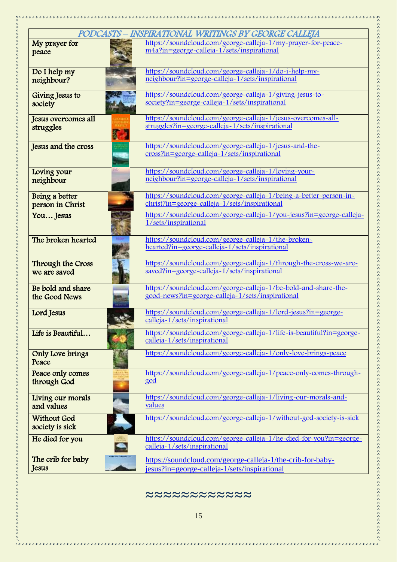| PODCASTS – INSPIRATIONAL WRITINGS BY GEORGE CALLEJA<br>https://soundcloud.com/george-calleja-1/my-prayer-for-peace-<br>My prayer for<br>m4a?in=george-calleja-1/sets/inspirational<br>peace<br>https://soundcloud.com/george-calleja-1/do-i-help-my-<br>Do I help my<br>neighbour?in=george-calleja-1/sets/inspirational<br>neighbour?<br>https://soundcloud.com/george-calleja-1/giving-jesus-to-<br>Giving Jesus to<br>society?in=george-calleja-1/sets/inspirational<br>society<br>https://soundcloud.com/george-calleja-1/jesus-overcomes-all-<br>Jesus overcomes all<br>struggles?in=george-calleja-1/sets/inspirational<br>struggles<br>https://soundcloud.com/george-calleja-1/jesus-and-the-<br>Jesus and the cross<br>cross?in=george-calleja-1/sets/inspirational<br>https://soundcloud.com/george-calleja-1/loving-your-<br>Loving your<br>neighbour?in=george-calleja-1/sets/inspirational<br>neighbour<br>https://soundcloud.com/george-calleja-1/being-a-better-person-in-<br>Being a better<br>christ?in=george-calleja-1/sets/inspirational<br>person in Christ<br>https://soundcloud.com/george-calleja-1/you-jesus?in=george-calleja-<br>You Jesus<br>1/sets/inspirational<br>The broken hearted<br>https://soundcloud.com/george-calleja-1/the-broken-<br>hearted?in=george-calleja-1/sets/inspirational<br>https://soundcloud.com/george-calleja-1/through-the-cross-we-are-<br>Through the Cross<br>saved?in=george-calleja-1/sets/inspirational<br>we are saved<br>https://soundcloud.com/george-calleja-1/be-bold-and-share-the-<br>Be bold and share<br>good-news?in=george-calleja-1/sets/inspirational<br>the Good News<br>https://soundcloud.com/george-calleja-1/lord-jesus?in=george-<br>Lord Jesus<br>calleja-1/sets/inspirational<br>https://soundcloud.com/george-calleja-1/life-is-beautiful?in=george-<br>Life is Beautiful<br>calleja-1/sets/inspirational<br>https://soundcloud.com/george-calleja-1/only-love-brings-peace<br>Only Love brings<br>Peace<br>https://soundcloud.com/george-calleja-1/peace-only-comes-through-<br>Peace only comes<br>god<br>through God<br>https://soundcloud.com/george-calleja-1/living-our-morals-and-<br>Living our morals<br>values<br>and values<br>https://soundcloud.com/george-calleja-1/without-god-society-is-sick<br><b>Without God</b><br>society is sick<br>https://soundcloud.com/george-calleja-1/he-died-for-you?in=george-<br>He died for you<br>calleja-1/sets/inspirational<br>The crib for baby<br>https://soundcloud.com/george-calleja-1/the-crib-for-baby-<br>Jesus<br>jesus?in=george-calleja-1/sets/inspirational |  |  |  |  |
|-----------------------------------------------------------------------------------------------------------------------------------------------------------------------------------------------------------------------------------------------------------------------------------------------------------------------------------------------------------------------------------------------------------------------------------------------------------------------------------------------------------------------------------------------------------------------------------------------------------------------------------------------------------------------------------------------------------------------------------------------------------------------------------------------------------------------------------------------------------------------------------------------------------------------------------------------------------------------------------------------------------------------------------------------------------------------------------------------------------------------------------------------------------------------------------------------------------------------------------------------------------------------------------------------------------------------------------------------------------------------------------------------------------------------------------------------------------------------------------------------------------------------------------------------------------------------------------------------------------------------------------------------------------------------------------------------------------------------------------------------------------------------------------------------------------------------------------------------------------------------------------------------------------------------------------------------------------------------------------------------------------------------------------------------------------------------------------------------------------------------------------------------------------------------------------------------------------------------------------------------------------------------------------------------------------------------------------------------------------------------------------------------------------------------------------------------------------------------------------------------------------------------------------------------------------------------------------------------------------------|--|--|--|--|
|                                                                                                                                                                                                                                                                                                                                                                                                                                                                                                                                                                                                                                                                                                                                                                                                                                                                                                                                                                                                                                                                                                                                                                                                                                                                                                                                                                                                                                                                                                                                                                                                                                                                                                                                                                                                                                                                                                                                                                                                                                                                                                                                                                                                                                                                                                                                                                                                                                                                                                                                                                                                                 |  |  |  |  |
|                                                                                                                                                                                                                                                                                                                                                                                                                                                                                                                                                                                                                                                                                                                                                                                                                                                                                                                                                                                                                                                                                                                                                                                                                                                                                                                                                                                                                                                                                                                                                                                                                                                                                                                                                                                                                                                                                                                                                                                                                                                                                                                                                                                                                                                                                                                                                                                                                                                                                                                                                                                                                 |  |  |  |  |
|                                                                                                                                                                                                                                                                                                                                                                                                                                                                                                                                                                                                                                                                                                                                                                                                                                                                                                                                                                                                                                                                                                                                                                                                                                                                                                                                                                                                                                                                                                                                                                                                                                                                                                                                                                                                                                                                                                                                                                                                                                                                                                                                                                                                                                                                                                                                                                                                                                                                                                                                                                                                                 |  |  |  |  |
|                                                                                                                                                                                                                                                                                                                                                                                                                                                                                                                                                                                                                                                                                                                                                                                                                                                                                                                                                                                                                                                                                                                                                                                                                                                                                                                                                                                                                                                                                                                                                                                                                                                                                                                                                                                                                                                                                                                                                                                                                                                                                                                                                                                                                                                                                                                                                                                                                                                                                                                                                                                                                 |  |  |  |  |
|                                                                                                                                                                                                                                                                                                                                                                                                                                                                                                                                                                                                                                                                                                                                                                                                                                                                                                                                                                                                                                                                                                                                                                                                                                                                                                                                                                                                                                                                                                                                                                                                                                                                                                                                                                                                                                                                                                                                                                                                                                                                                                                                                                                                                                                                                                                                                                                                                                                                                                                                                                                                                 |  |  |  |  |
|                                                                                                                                                                                                                                                                                                                                                                                                                                                                                                                                                                                                                                                                                                                                                                                                                                                                                                                                                                                                                                                                                                                                                                                                                                                                                                                                                                                                                                                                                                                                                                                                                                                                                                                                                                                                                                                                                                                                                                                                                                                                                                                                                                                                                                                                                                                                                                                                                                                                                                                                                                                                                 |  |  |  |  |
|                                                                                                                                                                                                                                                                                                                                                                                                                                                                                                                                                                                                                                                                                                                                                                                                                                                                                                                                                                                                                                                                                                                                                                                                                                                                                                                                                                                                                                                                                                                                                                                                                                                                                                                                                                                                                                                                                                                                                                                                                                                                                                                                                                                                                                                                                                                                                                                                                                                                                                                                                                                                                 |  |  |  |  |
|                                                                                                                                                                                                                                                                                                                                                                                                                                                                                                                                                                                                                                                                                                                                                                                                                                                                                                                                                                                                                                                                                                                                                                                                                                                                                                                                                                                                                                                                                                                                                                                                                                                                                                                                                                                                                                                                                                                                                                                                                                                                                                                                                                                                                                                                                                                                                                                                                                                                                                                                                                                                                 |  |  |  |  |
|                                                                                                                                                                                                                                                                                                                                                                                                                                                                                                                                                                                                                                                                                                                                                                                                                                                                                                                                                                                                                                                                                                                                                                                                                                                                                                                                                                                                                                                                                                                                                                                                                                                                                                                                                                                                                                                                                                                                                                                                                                                                                                                                                                                                                                                                                                                                                                                                                                                                                                                                                                                                                 |  |  |  |  |
|                                                                                                                                                                                                                                                                                                                                                                                                                                                                                                                                                                                                                                                                                                                                                                                                                                                                                                                                                                                                                                                                                                                                                                                                                                                                                                                                                                                                                                                                                                                                                                                                                                                                                                                                                                                                                                                                                                                                                                                                                                                                                                                                                                                                                                                                                                                                                                                                                                                                                                                                                                                                                 |  |  |  |  |
|                                                                                                                                                                                                                                                                                                                                                                                                                                                                                                                                                                                                                                                                                                                                                                                                                                                                                                                                                                                                                                                                                                                                                                                                                                                                                                                                                                                                                                                                                                                                                                                                                                                                                                                                                                                                                                                                                                                                                                                                                                                                                                                                                                                                                                                                                                                                                                                                                                                                                                                                                                                                                 |  |  |  |  |
|                                                                                                                                                                                                                                                                                                                                                                                                                                                                                                                                                                                                                                                                                                                                                                                                                                                                                                                                                                                                                                                                                                                                                                                                                                                                                                                                                                                                                                                                                                                                                                                                                                                                                                                                                                                                                                                                                                                                                                                                                                                                                                                                                                                                                                                                                                                                                                                                                                                                                                                                                                                                                 |  |  |  |  |
|                                                                                                                                                                                                                                                                                                                                                                                                                                                                                                                                                                                                                                                                                                                                                                                                                                                                                                                                                                                                                                                                                                                                                                                                                                                                                                                                                                                                                                                                                                                                                                                                                                                                                                                                                                                                                                                                                                                                                                                                                                                                                                                                                                                                                                                                                                                                                                                                                                                                                                                                                                                                                 |  |  |  |  |
|                                                                                                                                                                                                                                                                                                                                                                                                                                                                                                                                                                                                                                                                                                                                                                                                                                                                                                                                                                                                                                                                                                                                                                                                                                                                                                                                                                                                                                                                                                                                                                                                                                                                                                                                                                                                                                                                                                                                                                                                                                                                                                                                                                                                                                                                                                                                                                                                                                                                                                                                                                                                                 |  |  |  |  |
|                                                                                                                                                                                                                                                                                                                                                                                                                                                                                                                                                                                                                                                                                                                                                                                                                                                                                                                                                                                                                                                                                                                                                                                                                                                                                                                                                                                                                                                                                                                                                                                                                                                                                                                                                                                                                                                                                                                                                                                                                                                                                                                                                                                                                                                                                                                                                                                                                                                                                                                                                                                                                 |  |  |  |  |
|                                                                                                                                                                                                                                                                                                                                                                                                                                                                                                                                                                                                                                                                                                                                                                                                                                                                                                                                                                                                                                                                                                                                                                                                                                                                                                                                                                                                                                                                                                                                                                                                                                                                                                                                                                                                                                                                                                                                                                                                                                                                                                                                                                                                                                                                                                                                                                                                                                                                                                                                                                                                                 |  |  |  |  |
|                                                                                                                                                                                                                                                                                                                                                                                                                                                                                                                                                                                                                                                                                                                                                                                                                                                                                                                                                                                                                                                                                                                                                                                                                                                                                                                                                                                                                                                                                                                                                                                                                                                                                                                                                                                                                                                                                                                                                                                                                                                                                                                                                                                                                                                                                                                                                                                                                                                                                                                                                                                                                 |  |  |  |  |
|                                                                                                                                                                                                                                                                                                                                                                                                                                                                                                                                                                                                                                                                                                                                                                                                                                                                                                                                                                                                                                                                                                                                                                                                                                                                                                                                                                                                                                                                                                                                                                                                                                                                                                                                                                                                                                                                                                                                                                                                                                                                                                                                                                                                                                                                                                                                                                                                                                                                                                                                                                                                                 |  |  |  |  |
|                                                                                                                                                                                                                                                                                                                                                                                                                                                                                                                                                                                                                                                                                                                                                                                                                                                                                                                                                                                                                                                                                                                                                                                                                                                                                                                                                                                                                                                                                                                                                                                                                                                                                                                                                                                                                                                                                                                                                                                                                                                                                                                                                                                                                                                                                                                                                                                                                                                                                                                                                                                                                 |  |  |  |  |
|                                                                                                                                                                                                                                                                                                                                                                                                                                                                                                                                                                                                                                                                                                                                                                                                                                                                                                                                                                                                                                                                                                                                                                                                                                                                                                                                                                                                                                                                                                                                                                                                                                                                                                                                                                                                                                                                                                                                                                                                                                                                                                                                                                                                                                                                                                                                                                                                                                                                                                                                                                                                                 |  |  |  |  |
|                                                                                                                                                                                                                                                                                                                                                                                                                                                                                                                                                                                                                                                                                                                                                                                                                                                                                                                                                                                                                                                                                                                                                                                                                                                                                                                                                                                                                                                                                                                                                                                                                                                                                                                                                                                                                                                                                                                                                                                                                                                                                                                                                                                                                                                                                                                                                                                                                                                                                                                                                                                                                 |  |  |  |  |
|                                                                                                                                                                                                                                                                                                                                                                                                                                                                                                                                                                                                                                                                                                                                                                                                                                                                                                                                                                                                                                                                                                                                                                                                                                                                                                                                                                                                                                                                                                                                                                                                                                                                                                                                                                                                                                                                                                                                                                                                                                                                                                                                                                                                                                                                                                                                                                                                                                                                                                                                                                                                                 |  |  |  |  |
|                                                                                                                                                                                                                                                                                                                                                                                                                                                                                                                                                                                                                                                                                                                                                                                                                                                                                                                                                                                                                                                                                                                                                                                                                                                                                                                                                                                                                                                                                                                                                                                                                                                                                                                                                                                                                                                                                                                                                                                                                                                                                                                                                                                                                                                                                                                                                                                                                                                                                                                                                                                                                 |  |  |  |  |
|                                                                                                                                                                                                                                                                                                                                                                                                                                                                                                                                                                                                                                                                                                                                                                                                                                                                                                                                                                                                                                                                                                                                                                                                                                                                                                                                                                                                                                                                                                                                                                                                                                                                                                                                                                                                                                                                                                                                                                                                                                                                                                                                                                                                                                                                                                                                                                                                                                                                                                                                                                                                                 |  |  |  |  |
|                                                                                                                                                                                                                                                                                                                                                                                                                                                                                                                                                                                                                                                                                                                                                                                                                                                                                                                                                                                                                                                                                                                                                                                                                                                                                                                                                                                                                                                                                                                                                                                                                                                                                                                                                                                                                                                                                                                                                                                                                                                                                                                                                                                                                                                                                                                                                                                                                                                                                                                                                                                                                 |  |  |  |  |
|                                                                                                                                                                                                                                                                                                                                                                                                                                                                                                                                                                                                                                                                                                                                                                                                                                                                                                                                                                                                                                                                                                                                                                                                                                                                                                                                                                                                                                                                                                                                                                                                                                                                                                                                                                                                                                                                                                                                                                                                                                                                                                                                                                                                                                                                                                                                                                                                                                                                                                                                                                                                                 |  |  |  |  |
|                                                                                                                                                                                                                                                                                                                                                                                                                                                                                                                                                                                                                                                                                                                                                                                                                                                                                                                                                                                                                                                                                                                                                                                                                                                                                                                                                                                                                                                                                                                                                                                                                                                                                                                                                                                                                                                                                                                                                                                                                                                                                                                                                                                                                                                                                                                                                                                                                                                                                                                                                                                                                 |  |  |  |  |
|                                                                                                                                                                                                                                                                                                                                                                                                                                                                                                                                                                                                                                                                                                                                                                                                                                                                                                                                                                                                                                                                                                                                                                                                                                                                                                                                                                                                                                                                                                                                                                                                                                                                                                                                                                                                                                                                                                                                                                                                                                                                                                                                                                                                                                                                                                                                                                                                                                                                                                                                                                                                                 |  |  |  |  |
|                                                                                                                                                                                                                                                                                                                                                                                                                                                                                                                                                                                                                                                                                                                                                                                                                                                                                                                                                                                                                                                                                                                                                                                                                                                                                                                                                                                                                                                                                                                                                                                                                                                                                                                                                                                                                                                                                                                                                                                                                                                                                                                                                                                                                                                                                                                                                                                                                                                                                                                                                                                                                 |  |  |  |  |
|                                                                                                                                                                                                                                                                                                                                                                                                                                                                                                                                                                                                                                                                                                                                                                                                                                                                                                                                                                                                                                                                                                                                                                                                                                                                                                                                                                                                                                                                                                                                                                                                                                                                                                                                                                                                                                                                                                                                                                                                                                                                                                                                                                                                                                                                                                                                                                                                                                                                                                                                                                                                                 |  |  |  |  |
|                                                                                                                                                                                                                                                                                                                                                                                                                                                                                                                                                                                                                                                                                                                                                                                                                                                                                                                                                                                                                                                                                                                                                                                                                                                                                                                                                                                                                                                                                                                                                                                                                                                                                                                                                                                                                                                                                                                                                                                                                                                                                                                                                                                                                                                                                                                                                                                                                                                                                                                                                                                                                 |  |  |  |  |
|                                                                                                                                                                                                                                                                                                                                                                                                                                                                                                                                                                                                                                                                                                                                                                                                                                                                                                                                                                                                                                                                                                                                                                                                                                                                                                                                                                                                                                                                                                                                                                                                                                                                                                                                                                                                                                                                                                                                                                                                                                                                                                                                                                                                                                                                                                                                                                                                                                                                                                                                                                                                                 |  |  |  |  |
|                                                                                                                                                                                                                                                                                                                                                                                                                                                                                                                                                                                                                                                                                                                                                                                                                                                                                                                                                                                                                                                                                                                                                                                                                                                                                                                                                                                                                                                                                                                                                                                                                                                                                                                                                                                                                                                                                                                                                                                                                                                                                                                                                                                                                                                                                                                                                                                                                                                                                                                                                                                                                 |  |  |  |  |
|                                                                                                                                                                                                                                                                                                                                                                                                                                                                                                                                                                                                                                                                                                                                                                                                                                                                                                                                                                                                                                                                                                                                                                                                                                                                                                                                                                                                                                                                                                                                                                                                                                                                                                                                                                                                                                                                                                                                                                                                                                                                                                                                                                                                                                                                                                                                                                                                                                                                                                                                                                                                                 |  |  |  |  |
|                                                                                                                                                                                                                                                                                                                                                                                                                                                                                                                                                                                                                                                                                                                                                                                                                                                                                                                                                                                                                                                                                                                                                                                                                                                                                                                                                                                                                                                                                                                                                                                                                                                                                                                                                                                                                                                                                                                                                                                                                                                                                                                                                                                                                                                                                                                                                                                                                                                                                                                                                                                                                 |  |  |  |  |
|                                                                                                                                                                                                                                                                                                                                                                                                                                                                                                                                                                                                                                                                                                                                                                                                                                                                                                                                                                                                                                                                                                                                                                                                                                                                                                                                                                                                                                                                                                                                                                                                                                                                                                                                                                                                                                                                                                                                                                                                                                                                                                                                                                                                                                                                                                                                                                                                                                                                                                                                                                                                                 |  |  |  |  |
|                                                                                                                                                                                                                                                                                                                                                                                                                                                                                                                                                                                                                                                                                                                                                                                                                                                                                                                                                                                                                                                                                                                                                                                                                                                                                                                                                                                                                                                                                                                                                                                                                                                                                                                                                                                                                                                                                                                                                                                                                                                                                                                                                                                                                                                                                                                                                                                                                                                                                                                                                                                                                 |  |  |  |  |
|                                                                                                                                                                                                                                                                                                                                                                                                                                                                                                                                                                                                                                                                                                                                                                                                                                                                                                                                                                                                                                                                                                                                                                                                                                                                                                                                                                                                                                                                                                                                                                                                                                                                                                                                                                                                                                                                                                                                                                                                                                                                                                                                                                                                                                                                                                                                                                                                                                                                                                                                                                                                                 |  |  |  |  |
|                                                                                                                                                                                                                                                                                                                                                                                                                                                                                                                                                                                                                                                                                                                                                                                                                                                                                                                                                                                                                                                                                                                                                                                                                                                                                                                                                                                                                                                                                                                                                                                                                                                                                                                                                                                                                                                                                                                                                                                                                                                                                                                                                                                                                                                                                                                                                                                                                                                                                                                                                                                                                 |  |  |  |  |
|                                                                                                                                                                                                                                                                                                                                                                                                                                                                                                                                                                                                                                                                                                                                                                                                                                                                                                                                                                                                                                                                                                                                                                                                                                                                                                                                                                                                                                                                                                                                                                                                                                                                                                                                                                                                                                                                                                                                                                                                                                                                                                                                                                                                                                                                                                                                                                                                                                                                                                                                                                                                                 |  |  |  |  |
|                                                                                                                                                                                                                                                                                                                                                                                                                                                                                                                                                                                                                                                                                                                                                                                                                                                                                                                                                                                                                                                                                                                                                                                                                                                                                                                                                                                                                                                                                                                                                                                                                                                                                                                                                                                                                                                                                                                                                                                                                                                                                                                                                                                                                                                                                                                                                                                                                                                                                                                                                                                                                 |  |  |  |  |
|                                                                                                                                                                                                                                                                                                                                                                                                                                                                                                                                                                                                                                                                                                                                                                                                                                                                                                                                                                                                                                                                                                                                                                                                                                                                                                                                                                                                                                                                                                                                                                                                                                                                                                                                                                                                                                                                                                                                                                                                                                                                                                                                                                                                                                                                                                                                                                                                                                                                                                                                                                                                                 |  |  |  |  |
|                                                                                                                                                                                                                                                                                                                                                                                                                                                                                                                                                                                                                                                                                                                                                                                                                                                                                                                                                                                                                                                                                                                                                                                                                                                                                                                                                                                                                                                                                                                                                                                                                                                                                                                                                                                                                                                                                                                                                                                                                                                                                                                                                                                                                                                                                                                                                                                                                                                                                                                                                                                                                 |  |  |  |  |
|                                                                                                                                                                                                                                                                                                                                                                                                                                                                                                                                                                                                                                                                                                                                                                                                                                                                                                                                                                                                                                                                                                                                                                                                                                                                                                                                                                                                                                                                                                                                                                                                                                                                                                                                                                                                                                                                                                                                                                                                                                                                                                                                                                                                                                                                                                                                                                                                                                                                                                                                                                                                                 |  |  |  |  |
|                                                                                                                                                                                                                                                                                                                                                                                                                                                                                                                                                                                                                                                                                                                                                                                                                                                                                                                                                                                                                                                                                                                                                                                                                                                                                                                                                                                                                                                                                                                                                                                                                                                                                                                                                                                                                                                                                                                                                                                                                                                                                                                                                                                                                                                                                                                                                                                                                                                                                                                                                                                                                 |  |  |  |  |
|                                                                                                                                                                                                                                                                                                                                                                                                                                                                                                                                                                                                                                                                                                                                                                                                                                                                                                                                                                                                                                                                                                                                                                                                                                                                                                                                                                                                                                                                                                                                                                                                                                                                                                                                                                                                                                                                                                                                                                                                                                                                                                                                                                                                                                                                                                                                                                                                                                                                                                                                                                                                                 |  |  |  |  |
|                                                                                                                                                                                                                                                                                                                                                                                                                                                                                                                                                                                                                                                                                                                                                                                                                                                                                                                                                                                                                                                                                                                                                                                                                                                                                                                                                                                                                                                                                                                                                                                                                                                                                                                                                                                                                                                                                                                                                                                                                                                                                                                                                                                                                                                                                                                                                                                                                                                                                                                                                                                                                 |  |  |  |  |
|                                                                                                                                                                                                                                                                                                                                                                                                                                                                                                                                                                                                                                                                                                                                                                                                                                                                                                                                                                                                                                                                                                                                                                                                                                                                                                                                                                                                                                                                                                                                                                                                                                                                                                                                                                                                                                                                                                                                                                                                                                                                                                                                                                                                                                                                                                                                                                                                                                                                                                                                                                                                                 |  |  |  |  |
|                                                                                                                                                                                                                                                                                                                                                                                                                                                                                                                                                                                                                                                                                                                                                                                                                                                                                                                                                                                                                                                                                                                                                                                                                                                                                                                                                                                                                                                                                                                                                                                                                                                                                                                                                                                                                                                                                                                                                                                                                                                                                                                                                                                                                                                                                                                                                                                                                                                                                                                                                                                                                 |  |  |  |  |